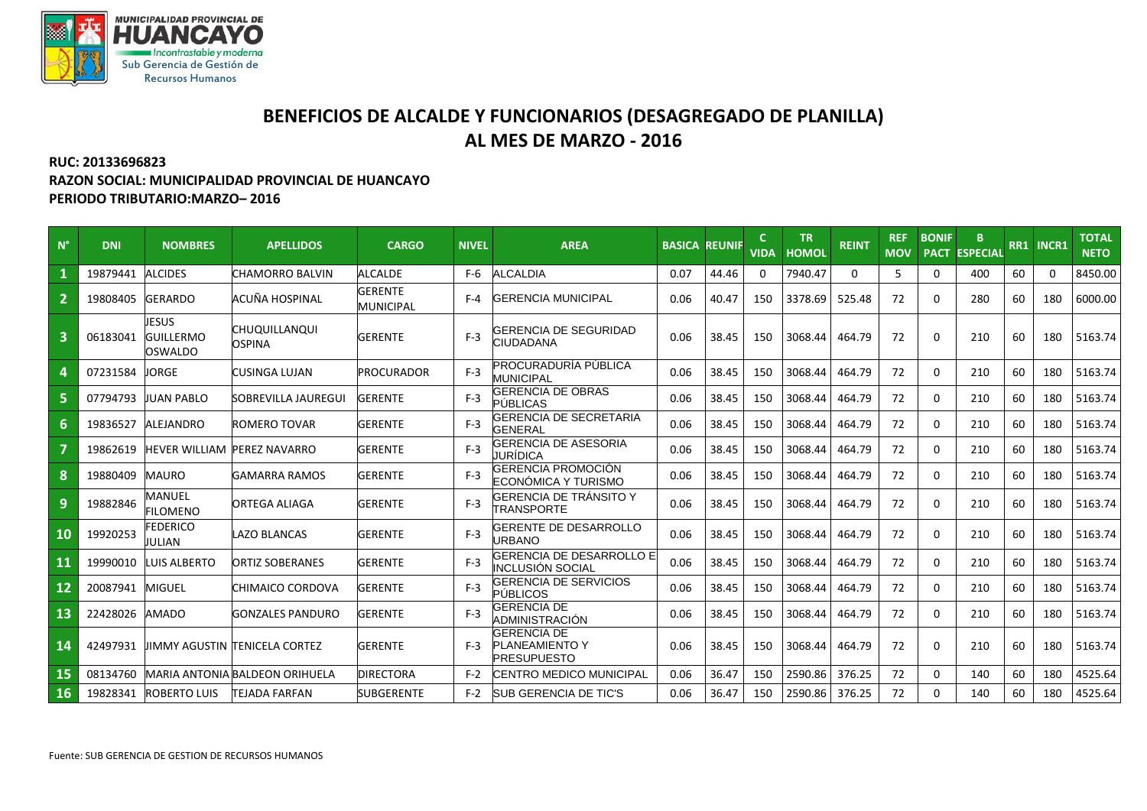

## **BENEFICIOS DE ALCALDE Y FUNCIONARIOS (DESAGREGADO DE PLANILLA) AL MES DE MARZO - 2016**

## **RUC: 20133696823 RAZON SOCIAL: MUNICIPALIDAD PROVINCIAL DE HUANCAYO PERIODO TRIBUTARIO:MARZO– 2016**

| $N^{\circ}$    | <b>DNI</b> | <b>NOMBRES</b>                       | <b>APELLIDOS</b>                     | <b>CARGO</b>                       | <b>NIVEL</b> | <b>AREA</b>                                                       | <b>BASICA</b> | <b>REUNIF</b> | <b>VIDA</b> | <b>TR</b><br><b>HOMOL</b> | <b>REINT</b> | <b>REF</b><br><b>MOV</b> | <b>BONIF</b><br><b>PACT</b> | B<br><b>ESPECIAL</b> |    | RR1 INCR1 | <b>TOTAL</b><br><b>NETO</b> |
|----------------|------------|--------------------------------------|--------------------------------------|------------------------------------|--------------|-------------------------------------------------------------------|---------------|---------------|-------------|---------------------------|--------------|--------------------------|-----------------------------|----------------------|----|-----------|-----------------------------|
|                | 19879441   | <b>ALCIDES</b>                       | CHAMORRO BALVIN                      | <b>ALCALDE</b>                     | F-6          | <b>ALCALDIA</b>                                                   | 0.07          | 44.46         |             | 7940.47                   | $\Omega$     | 5                        | $\Omega$                    | 400                  | 60 | 0         | 8450.00                     |
| $\overline{2}$ | 19808405   | <b>GERARDO</b>                       | ACUÑA HOSPINAL                       | <b>GERENTE</b><br><b>MUNICIPAL</b> | $F - 4$      | <b>GERENCIA MUNICIPAL</b>                                         | 0.06          | 40.47         | 150         | 3378.69                   | 525.48       | 72                       | 0                           | 280                  | 60 | 180       | 6000.00                     |
| $\overline{3}$ | 06183041   | JESUS<br><b>GUILLERMO</b><br>OSWALDO | CHUQUILLANQUI<br>OSPINA              | GERENTE                            | $F-3$        | GERENCIA DE SEGURIDAD<br>CIUDADANA                                | 0.06          | 38.45         | 150         | 3068.44                   | 464.79       | 72                       | $\Omega$                    | 210                  | 60 | 180       | 5163.74                     |
| 4              | 07231584   | JORGE                                | CUSINGA LUJAN                        | PROCURADOR                         | $F-3$        | PROCURADURÍA PÚBLICA<br><b>MUNICIPAL</b>                          | 0.06          | 38.45         | 150         | 3068.44                   | 464.79       | 72                       | $\Omega$                    | 210                  | 60 | 180       | 5163.74                     |
| 5              | 07794793   | <b>JUAN PABLO</b>                    | SOBREVILLA JAUREGUI                  | GERENTE                            | $F-3$        | GERENCIA DE OBRAS<br><b>PÚBLICAS</b>                              | 0.06          | 38.45         | 150         | 3068.44                   | 464.79       | 72                       | $\Omega$                    | 210                  | 60 | 180       | 5163.74                     |
| 6              | 19836527   | ALEJANDRO                            | ROMERO TOVAR                         | <b>GERENTE</b>                     | $F-3$        | <b>GERENCIA DE SECRETARIA</b><br><b>GENERAL</b>                   | 0.06          | 38.45         | 150         | 3068.44                   | 464.79       | 72                       | $\Omega$                    | 210                  | 60 | 180       | 5163.74                     |
| $\overline{7}$ | 19862619   | <b>HEVER WILLIAM PEREZ NAVARRO</b>   |                                      | <b>GERENTE</b>                     | $F-3$        | GERENCIA DE ASESORIA<br>JURÍDICA                                  | 0.06          | 38.45         | 150         | 3068.44                   | 464.79       | 72                       | 0                           | 210                  | 60 | 180       | 5163.74                     |
| 8              | 19880409   | <b>MAURO</b>                         | <b>GAMARRA RAMOS</b>                 | <b>GERENTE</b>                     | $F-3$        | GERENCIA PROMOCIÓN<br>ECONÓMICA Y TURISMO                         | 0.06          | 38.45         | 150         | 3068.44                   | 464.79       | 72                       | $\Omega$                    | 210                  | 60 | 180       | 5163.74                     |
| 9              | 19882846   | MANUEL<br><b>FILOMENO</b>            | ORTEGA ALIAGA                        | <b>GERENTE</b>                     | $F-3$        | GERENCIA DE TRÁNSITO Y<br><b>TRANSPORTE</b>                       | 0.06          | 38.45         | 150         | 3068.44                   | 464.79       | 72                       | $\mathbf 0$                 | 210                  | 60 | 180       | 5163.74                     |
| 10             | 19920253   | <b>FEDERICO</b><br>JULIAN            | LAZO BLANCAS                         | <b>GERENTE</b>                     | $F-3$        | GERENTE DE DESARROLLO<br>URBANO                                   | 0.06          | 38.45         | 150         | 3068.44                   | 464.79       | 72                       | $\Omega$                    | 210                  | 60 | 180       | 5163.74                     |
| 11             | 19990010   | LUIS ALBERTO                         | ORTIZ SOBERANES                      | <b>GERENTE</b>                     | $F-3$        | <b>GERENCIA DE DESARROLLO E</b><br>INCLUSIÓN SOCIAL               | 0.06          | 38.45         | 150         | 3068.44                   | 464.79       | 72                       | $\Omega$                    | 210                  | 60 | 180       | 5163.74                     |
| 12             | 20087941   | <b>MIGUEL</b>                        | CHIMAICO CORDOVA                     | <b>GERENTE</b>                     | $F-3$        | GERENCIA DE SERVICIOS<br>PÚBLICOS                                 | 0.06          | 38.45         | 150         | 3068.44                   | 464.79       | 72                       | 0                           | 210                  | 60 | 180       | 5163.74                     |
| 13             | 22428026   | AMADO                                | GONZALES PANDURO                     | <b>GERENTE</b>                     | $F-3$        | <b>GERENCIA DE</b><br>ADMINISTRACIÓN                              | 0.06          | 38.45         | 150         | 3068.44                   | 464.79       | 72                       | $\Omega$                    | 210                  | 60 | 180       | 5163.74                     |
| 14             | 42497931   |                                      | <b>JIMMY AGUSTIN TENICELA CORTEZ</b> | <b>GERENTE</b>                     | $F-3$        | <b>GERENCIA DE</b><br><b>PLANEAMIENTO Y</b><br><b>PRESUPUESTO</b> | 0.06          | 38.45         | 150         | 3068.44                   | 464.79       | 72                       | 0                           | 210                  | 60 | 180       | 5163.74                     |
| 15             | 08134760   |                                      | MARIA ANTONIA BALDEON ORIHUELA       | <b>DIRECTORA</b>                   | $F-2$        | CENTRO MEDICO MUNICIPAL                                           | 0.06          | 36.47         | 150         | 2590.86                   | 376.25       | 72                       | 0                           | 140                  | 60 | 180       | 4525.64                     |
| 16             | 19828341   | <b>ROBERTO LUIS</b>                  | <b>TEJADA FARFAN</b>                 | SUBGERENTE                         | F-2          | <b>SUB GERENCIA DE TIC'S</b>                                      | 0.06          | 36.47         | 150         | 2590.86                   | 376.25       | 72                       | $\Omega$                    | 140                  | 60 | 180       | 4525.64                     |